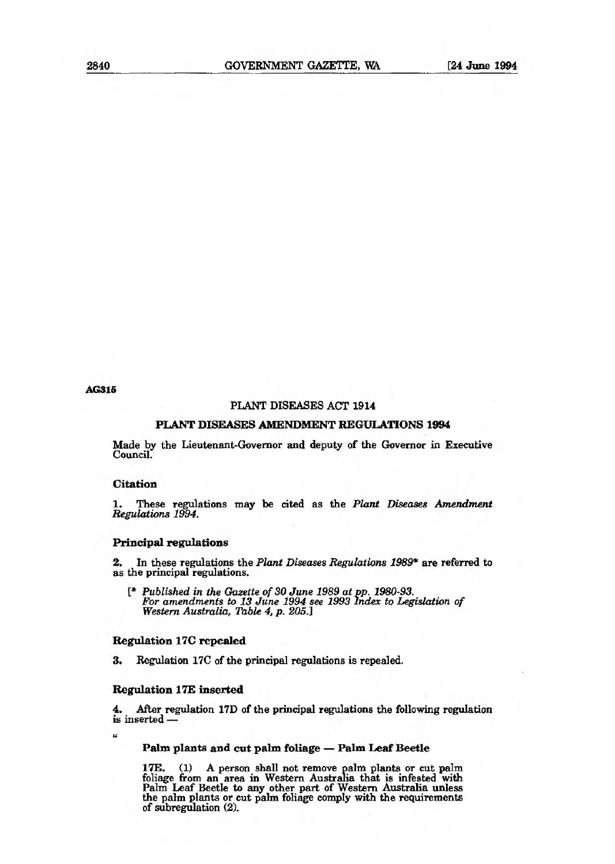**AG315** 

# **PLANT** DISEASES ACT 1914

### **PLANT DISEASES AMENDMENT REGULATIONS 1994**

Made by the Lieutenant-Governor and deputy of the Governor in Executive Council.

# **Citation**

1. These regulations may be cited as the *Plant Diseases Amendment Regulations 1994.* 

# **Principal regulations**

2. In these regulations the *Plant Diseases Regulations 1989\** are referred to as the principal regulations.

*{\* Published in the Gazette of 30 June 1989 at pp. 1980-93. For amendments to 13 June 1994 see 1993 Index to Legislation of Western Australia, Table 4, p. 205.]* 

# **Regulation 17C repealed**

3. Regulation 17C of the principal regulations is repealed.

#### **Regulation 17E inserted**

4. After regulation 17D of the principal regulations the following regulation is inserted —

**t4** 

# **Palm plants and cut palm foliage — Palm Leaf Beetle**

**17E.** (1) A person shall not remove palm plants or cut palm foliage from an area in Western Australia that is infested with Palm Leaf Beetle to any other part of Western Australia unless the palm plants or cut palm foliage comply with the requirements of subregulation (2).